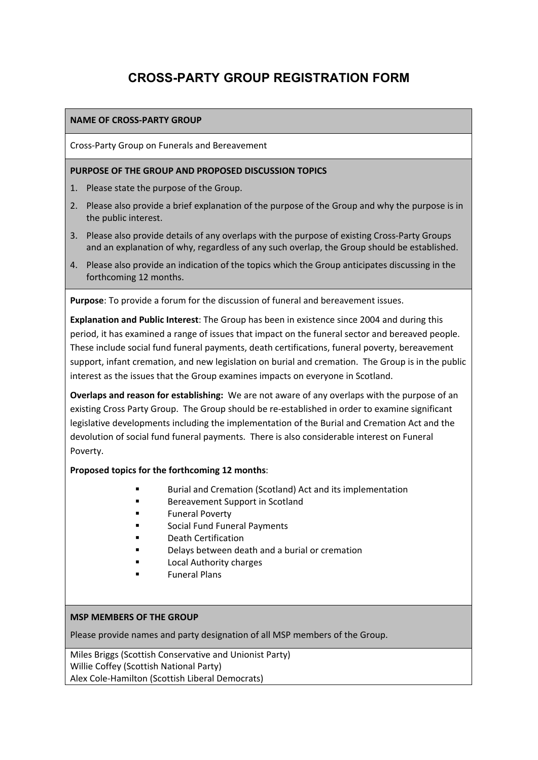# **CROSS-PARTY GROUP REGISTRATION FORM**

### **NAME OF CROSS‐PARTY GROUP**

Cross‐Party Group on Funerals and Bereavement

#### **PURPOSE OF THE GROUP AND PROPOSED DISCUSSION TOPICS**

- 1. Please state the purpose of the Group.
- 2. Please also provide a brief explanation of the purpose of the Group and why the purpose is in the public interest.
- 3. Please also provide details of any overlaps with the purpose of existing Cross-Party Groups and an explanation of why, regardless of any such overlap, the Group should be established.
- 4. Please also provide an indication of the topics which the Group anticipates discussing in the forthcoming 12 months.

**Purpose**: To provide a forum for the discussion of funeral and bereavement issues.

**Explanation and Public Interest**: The Group has been in existence since 2004 and during this period, it has examined a range of issues that impact on the funeral sector and bereaved people. These include social fund funeral payments, death certifications, funeral poverty, bereavement support, infant cremation, and new legislation on burial and cremation. The Group is in the public interest as the issues that the Group examines impacts on everyone in Scotland.

**Overlaps and reason for establishing:** We are not aware of any overlaps with the purpose of an existing Cross Party Group. The Group should be re‐established in order to examine significant legislative developments including the implementation of the Burial and Cremation Act and the devolution of social fund funeral payments. There is also considerable interest on Funeral Poverty.

#### **Proposed topics for the forthcoming 12 months**:

- Burial and Cremation (Scotland) Act and its implementation
- **Bereavement Support in Scotland**
- **Funeral Poverty**
- **Social Fund Funeral Payments**
- **Death Certification**
- Delays between death and a burial or cremation
- **Local Authority charges**
- **Funeral Plans**

#### **MSP MEMBERS OF THE GROUP**

Please provide names and party designation of all MSP members of the Group.

Miles Briggs (Scottish Conservative and Unionist Party) Willie Coffey (Scottish National Party) Alex Cole‐Hamilton (Scottish Liberal Democrats)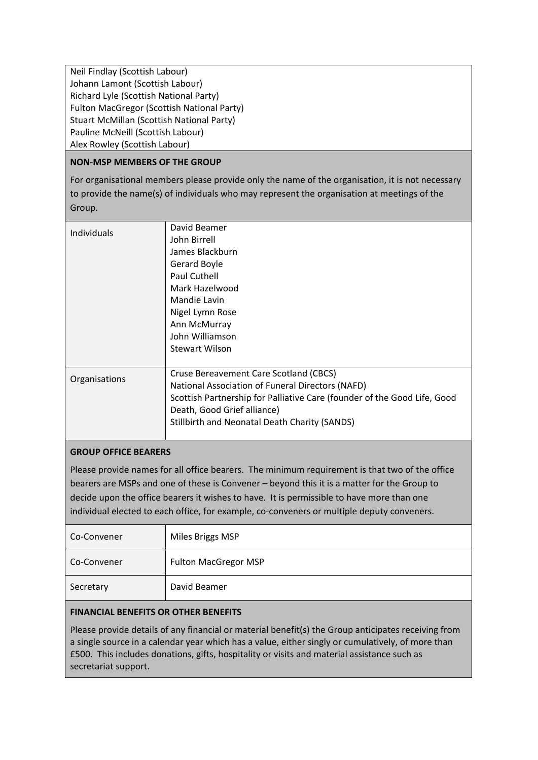Neil Findlay (Scottish Labour) Johann Lamont (Scottish Labour) Richard Lyle (Scottish National Party) Fulton MacGregor (Scottish National Party) Stuart McMillan (Scottish National Party) Pauline McNeill (Scottish Labour) Alex Rowley (Scottish Labour)

### **NON‐MSP MEMBERS OF THE GROUP**

For organisational members please provide only the name of the organisation, it is not necessary to provide the name(s) of individuals who may represent the organisation at meetings of the Group.

| Individuals   | David Beamer                                                             |
|---------------|--------------------------------------------------------------------------|
|               | John Birrell                                                             |
|               | James Blackburn                                                          |
|               | Gerard Boyle                                                             |
|               | Paul Cuthell                                                             |
|               | Mark Hazelwood                                                           |
|               | Mandie Lavin                                                             |
|               | Nigel Lymn Rose                                                          |
|               | Ann McMurray                                                             |
|               | John Williamson                                                          |
|               | <b>Stewart Wilson</b>                                                    |
|               |                                                                          |
| Organisations | Cruse Bereavement Care Scotland (CBCS)                                   |
|               | National Association of Funeral Directors (NAFD)                         |
|               | Scottish Partnership for Palliative Care (founder of the Good Life, Good |
|               | Death, Good Grief alliance)                                              |
|               | <b>Stillbirth and Neonatal Death Charity (SANDS)</b>                     |
|               |                                                                          |

#### **GROUP OFFICE BEARERS**

Please provide names for all office bearers. The minimum requirement is that two of the office bearers are MSPs and one of these is Convener – beyond this it is a matter for the Group to decide upon the office bearers it wishes to have. It is permissible to have more than one individual elected to each office, for example, co-conveners or multiple deputy conveners.

| Co-Convener | Miles Briggs MSP            |
|-------------|-----------------------------|
| Co-Convener | <b>Fulton MacGregor MSP</b> |
| Secretary   | David Beamer                |

## **FINANCIAL BENEFITS OR OTHER BENEFITS**

Please provide details of any financial or material benefit(s) the Group anticipates receiving from a single source in a calendar year which has a value, either singly or cumulatively, of more than £500. This includes donations, gifts, hospitality or visits and material assistance such as secretariat support.